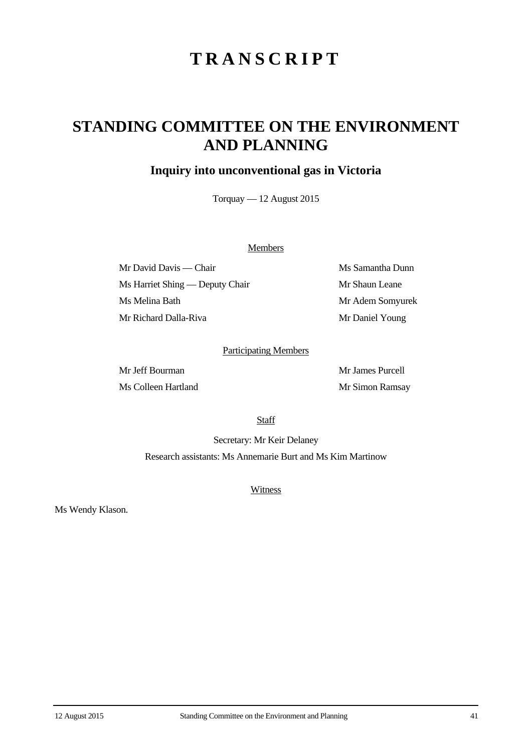# **TRANSCRIPT**

## **STANDING COMMITTEE ON THE ENVIRONMENT AND PLANNING**

## **Inquiry into unconventional gas in Victoria**

Torquay — 12 August 2015

### **Members**

Mr David Davis — Chair Ms Samantha Dunn Ms Harriet Shing — Deputy Chair Mr Shaun Leane Ms Melina Bath Mr Adem Somyurek Mr Richard Dalla-Riva Mr Daniel Young

### Participating Members

Mr Jeff Bourman Mr James Purcell Ms Colleen Hartland Mr Simon Ramsay

**Staff** 

Secretary: Mr Keir Delaney Research assistants: Ms Annemarie Burt and Ms Kim Martinow

**Witness** 

Ms Wendy Klason.